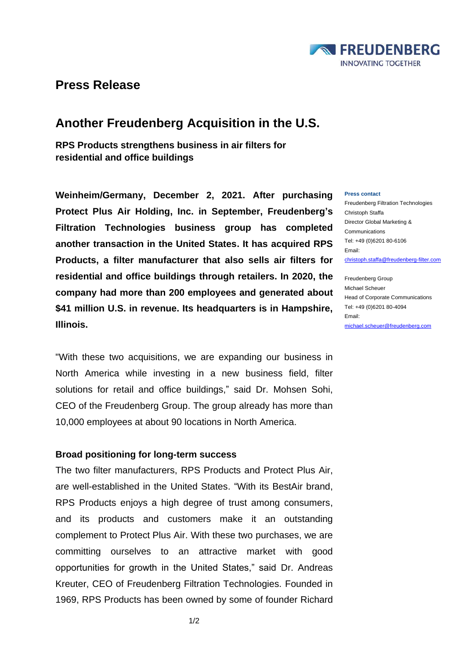

## **Press Release**

# **Another Freudenberg Acquisition in the U.S.**

**RPS Products strengthens business in air filters for residential and office buildings** 

**Weinheim/Germany, December 2, 2021. After purchasing Protect Plus Air Holding, Inc. in September, Freudenberg's Filtration Technologies business group has completed another transaction in the United States. It has acquired RPS Products, a filter manufacturer that also sells air filters for residential and office buildings through retailers. In 2020, the company had more than 200 employees and generated about \$41 million U.S. in revenue. Its headquarters is in Hampshire, Illinois.**

"With these two acquisitions, we are expanding our business in North America while investing in a new business field, filter solutions for retail and office buildings," said Dr. Mohsen Sohi, CEO of the Freudenberg Group. The group already has more than 10,000 employees at about 90 locations in North America.

### **Broad positioning for long-term success**

The two filter manufacturers, RPS Products and Protect Plus Air, are well-established in the United States. "With its BestAir brand, RPS Products enjoys a high degree of trust among consumers, and its products and customers make it an outstanding complement to Protect Plus Air. With these two purchases, we are committing ourselves to an attractive market with good opportunities for growth in the United States," said Dr. Andreas Kreuter, CEO of Freudenberg Filtration Technologies. Founded in 1969, RPS Products has been owned by some of founder Richard

#### **Press contact**

Freudenberg Filtration Technologies Christoph Staffa Director Global Marketing & Communications Tel: +49 (0)6201 80-6106 Email: [christoph.staffa@freudenberg-filter.com](mailto:christoph.staffa@freudenberg-filter.com)

Freudenberg Group Michael Scheuer Head of Corporate Communications Tel: +49 (0)6201 80-4094 Email: [michael.scheuer@freudenberg.com](mailto:michael.scheuer@freudenberg.com)